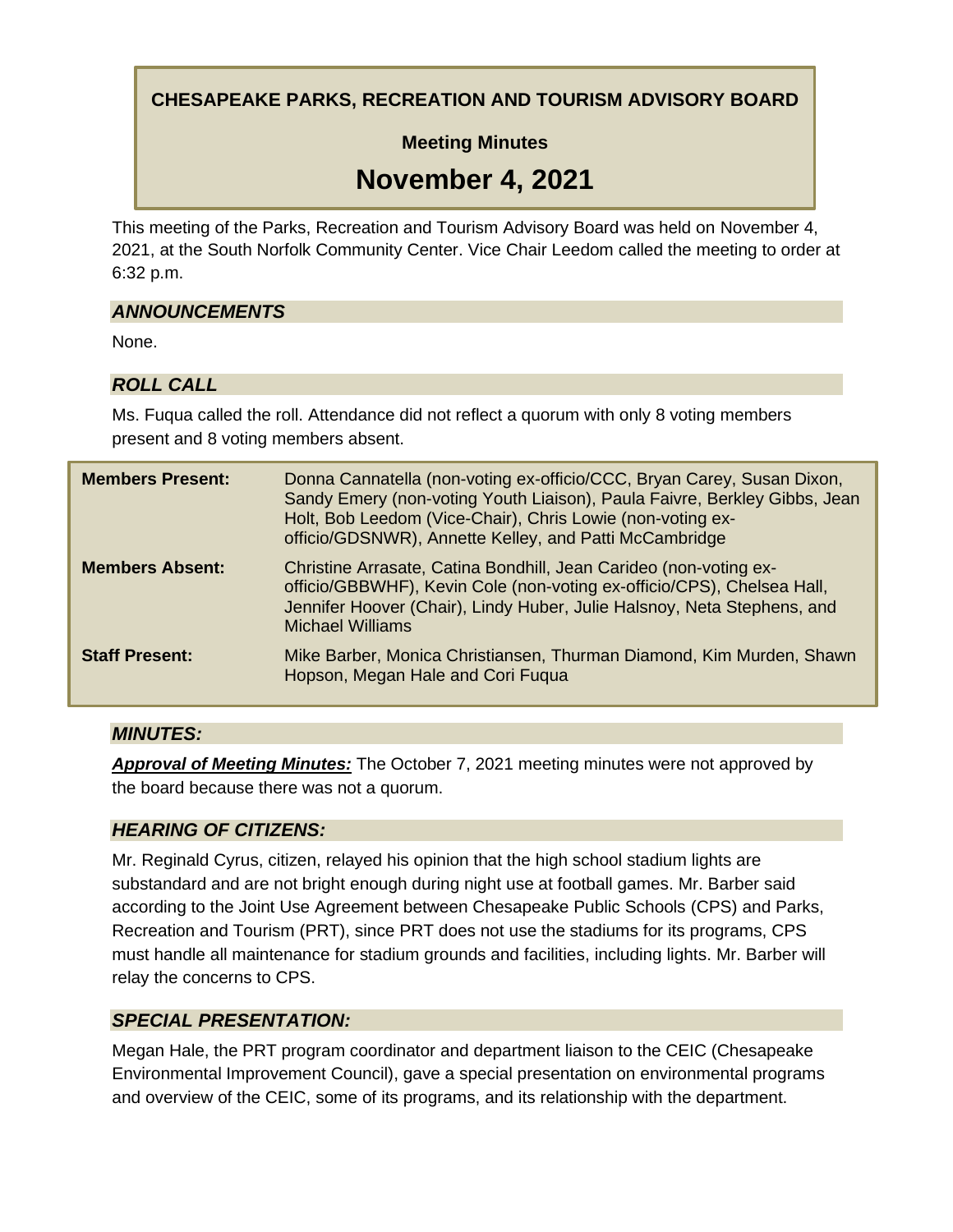**CHESAPEAKE PARKS, RECREATION AND TOURISM ADVISORY BOARD**

**Meeting Minutes**

# **November 4, 2021**

This meeting of the Parks, Recreation and Tourism Advisory Board was held on November 4, 2021, at the South Norfolk Community Center. Vice Chair Leedom called the meeting to order at 6:32 p.m.

## *ANNOUNCEMENTS*

None.

# *ROLL CALL*

Ms. Fuqua called the roll. Attendance did not reflect a quorum with only 8 voting members present and 8 voting members absent.

| <b>Members Present:</b> | Donna Cannatella (non-voting ex-officio/CCC, Bryan Carey, Susan Dixon,<br>Sandy Emery (non-voting Youth Liaison), Paula Faivre, Berkley Gibbs, Jean<br>Holt, Bob Leedom (Vice-Chair), Chris Lowie (non-voting ex-<br>officio/GDSNWR), Annette Kelley, and Patti McCambridge |
|-------------------------|-----------------------------------------------------------------------------------------------------------------------------------------------------------------------------------------------------------------------------------------------------------------------------|
| <b>Members Absent:</b>  | Christine Arrasate, Catina Bondhill, Jean Carideo (non-voting ex-<br>officio/GBBWHF), Kevin Cole (non-voting ex-officio/CPS), Chelsea Hall,<br>Jennifer Hoover (Chair), Lindy Huber, Julie Halsnoy, Neta Stephens, and<br><b>Michael Williams</b>                           |
| <b>Staff Present:</b>   | Mike Barber, Monica Christiansen, Thurman Diamond, Kim Murden, Shawn<br>Hopson, Megan Hale and Cori Fuqua                                                                                                                                                                   |

## *MINUTES:*

*Approval of Meeting Minutes:* The October 7, 2021 meeting minutes were not approved by the board because there was not a quorum.

## *HEARING OF CITIZENS:*

Mr. Reginald Cyrus, citizen, relayed his opinion that the high school stadium lights are substandard and are not bright enough during night use at football games. Mr. Barber said according to the Joint Use Agreement between Chesapeake Public Schools (CPS) and Parks, Recreation and Tourism (PRT), since PRT does not use the stadiums for its programs, CPS must handle all maintenance for stadium grounds and facilities, including lights. Mr. Barber will relay the concerns to CPS.

## *SPECIAL PRESENTATION:*

Megan Hale, the PRT program coordinator and department liaison to the CEIC (Chesapeake Environmental Improvement Council), gave a special presentation on environmental programs and overview of the CEIC, some of its programs, and its relationship with the department.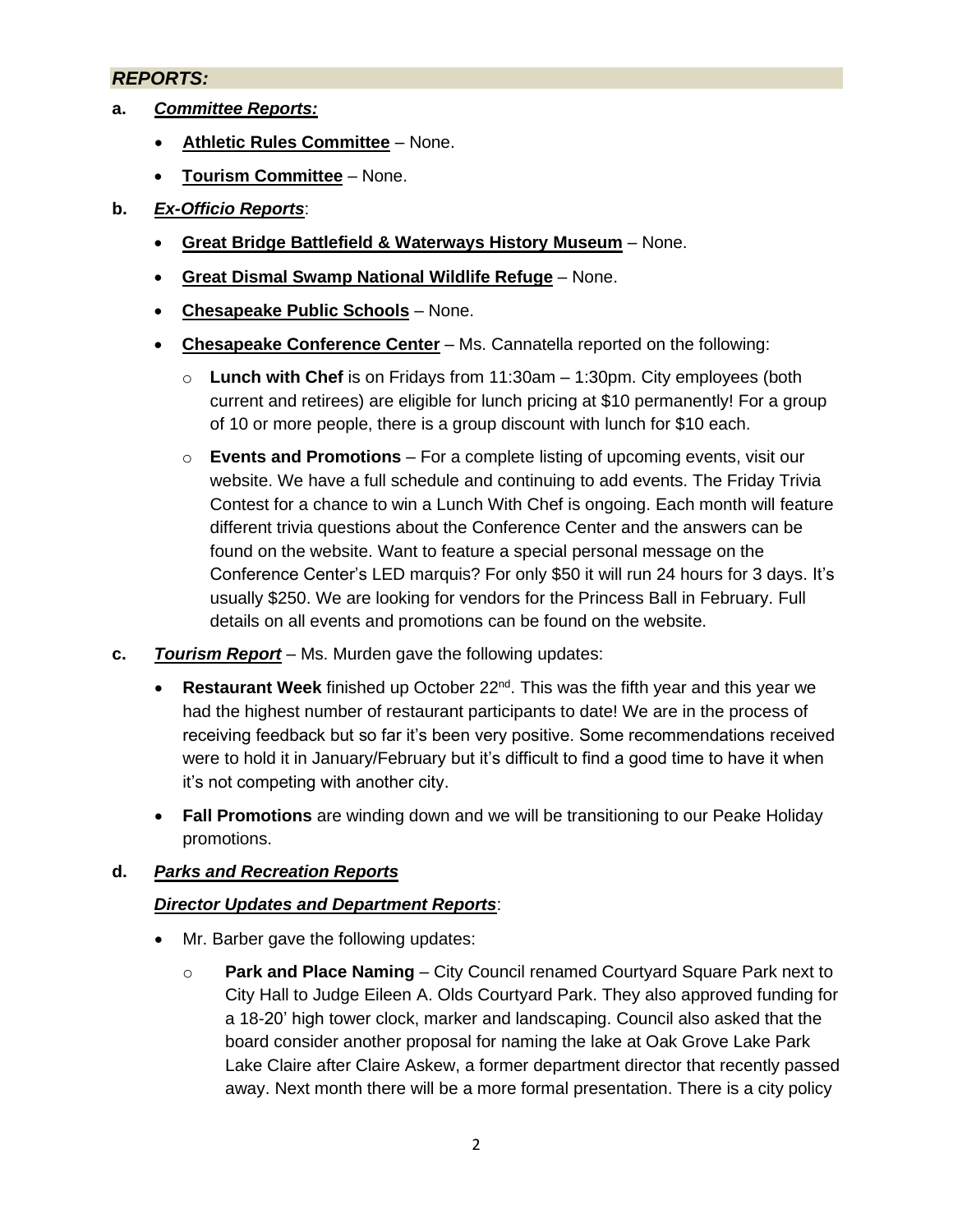#### *REPORTS:*

- **a.** *Committee Reports:*
	- **Athletic Rules Committee** None.
	- **Tourism Committee** None.

#### **b.** *Ex-Officio Reports*:

- **Great Bridge Battlefield & Waterways History Museum** None.
- **Great Dismal Swamp National Wildlife Refuge** None.
- **Chesapeake Public Schools** None.
- **Chesapeake Conference Center** Ms. Cannatella reported on the following:
	- o **Lunch with Chef** is on Fridays from 11:30am 1:30pm. City employees (both current and retirees) are eligible for lunch pricing at \$10 permanently! For a group of 10 or more people, there is a group discount with lunch for \$10 each.
	- o **Events and Promotions** For a complete listing of upcoming events, visit our website. We have a full schedule and continuing to add events. The Friday Trivia Contest for a chance to win a Lunch With Chef is ongoing. Each month will feature different trivia questions about the Conference Center and the answers can be found on the website. Want to feature a special personal message on the Conference Center's LED marquis? For only \$50 it will run 24 hours for 3 days. It's usually \$250. We are looking for vendors for the Princess Ball in February. Full details on all events and promotions can be found on the website.
- **c.** *Tourism Report* Ms. Murden gave the following updates:
	- **Restaurant Week** finished up October 22<sup>nd</sup>. This was the fifth year and this year we had the highest number of restaurant participants to date! We are in the process of receiving feedback but so far it's been very positive. Some recommendations received were to hold it in January/February but it's difficult to find a good time to have it when it's not competing with another city.
	- **Fall Promotions** are winding down and we will be transitioning to our Peake Holiday promotions.

#### **d.** *Parks and Recreation Reports*

#### *Director Updates and Department Reports*:

- Mr. Barber gave the following updates:
	- o **Park and Place Naming**  City Council renamed Courtyard Square Park next to City Hall to Judge Eileen A. Olds Courtyard Park. They also approved funding for a 18-20' high tower clock, marker and landscaping. Council also asked that the board consider another proposal for naming the lake at Oak Grove Lake Park Lake Claire after Claire Askew, a former department director that recently passed away. Next month there will be a more formal presentation. There is a city policy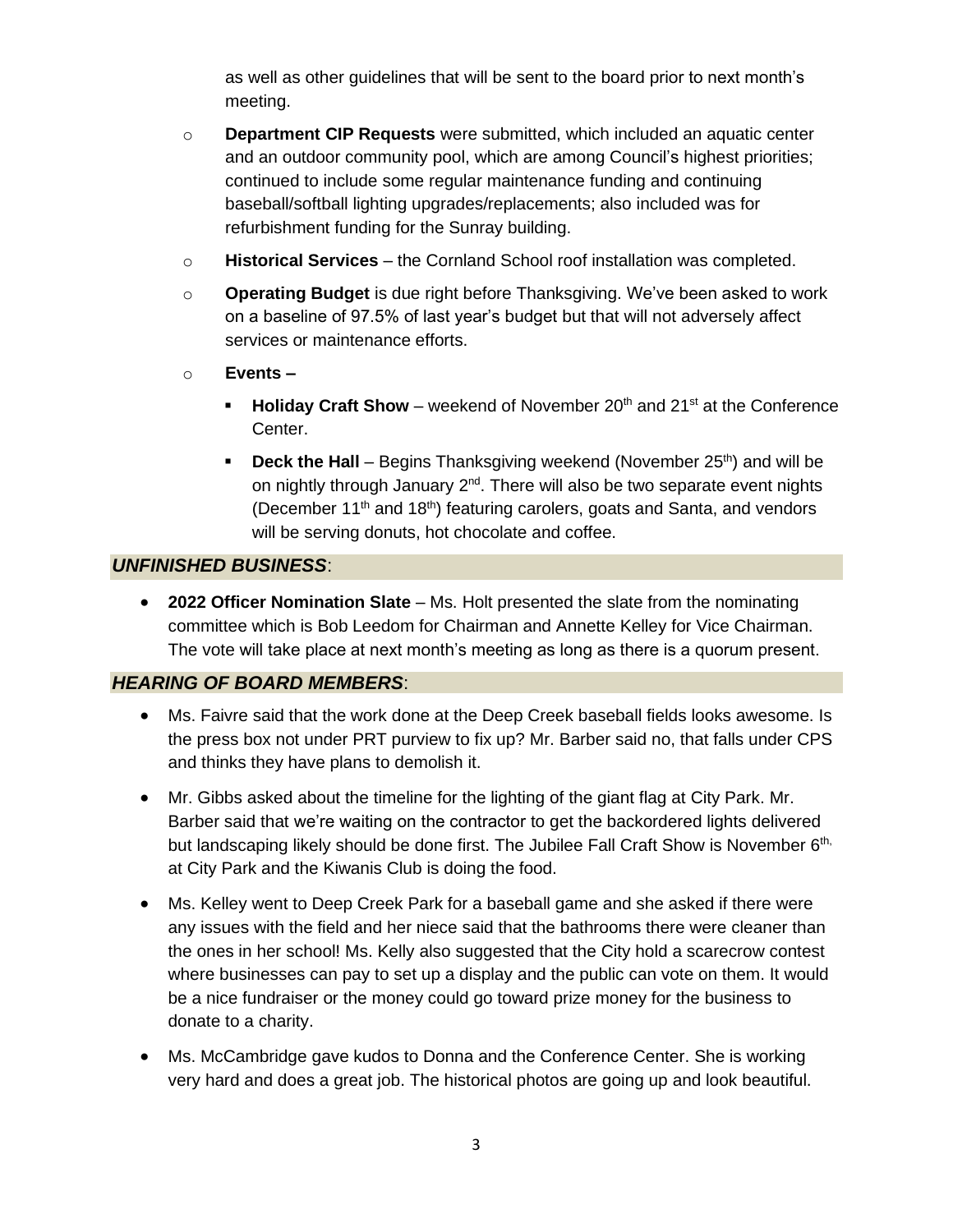as well as other guidelines that will be sent to the board prior to next month's meeting.

- o **Department CIP Requests** were submitted, which included an aquatic center and an outdoor community pool, which are among Council's highest priorities; continued to include some regular maintenance funding and continuing baseball/softball lighting upgrades/replacements; also included was for refurbishment funding for the Sunray building.
- o **Historical Services** the Cornland School roof installation was completed.
- o **Operating Budget** is due right before Thanksgiving. We've been asked to work on a baseline of 97.5% of last year's budget but that will not adversely affect services or maintenance efforts.
- o **Events –**
	- **Holiday Craft Show** weekend of November 20<sup>th</sup> and 21<sup>st</sup> at the Conference Center.
	- **Deck the Hall** Begins Thanksgiving weekend (November 25<sup>th</sup>) and will be on nightly through January 2<sup>nd</sup>. There will also be two separate event nights (December  $11<sup>th</sup>$  and  $18<sup>th</sup>$ ) featuring carolers, goats and Santa, and vendors will be serving donuts, hot chocolate and coffee.

## *UNFINISHED BUSINESS*:

• **2022 Officer Nomination Slate** – Ms. Holt presented the slate from the nominating committee which is Bob Leedom for Chairman and Annette Kelley for Vice Chairman. The vote will take place at next month's meeting as long as there is a quorum present.

#### *HEARING OF BOARD MEMBERS*:

- Ms. Faivre said that the work done at the Deep Creek baseball fields looks awesome. Is the press box not under PRT purview to fix up? Mr. Barber said no, that falls under CPS and thinks they have plans to demolish it.
- Mr. Gibbs asked about the timeline for the lighting of the giant flag at City Park. Mr. Barber said that we're waiting on the contractor to get the backordered lights delivered but landscaping likely should be done first. The Jubilee Fall Craft Show is November 6<sup>th,</sup> at City Park and the Kiwanis Club is doing the food.
- Ms. Kelley went to Deep Creek Park for a baseball game and she asked if there were any issues with the field and her niece said that the bathrooms there were cleaner than the ones in her school! Ms. Kelly also suggested that the City hold a scarecrow contest where businesses can pay to set up a display and the public can vote on them. It would be a nice fundraiser or the money could go toward prize money for the business to donate to a charity.
- Ms. McCambridge gave kudos to Donna and the Conference Center. She is working very hard and does a great job. The historical photos are going up and look beautiful.